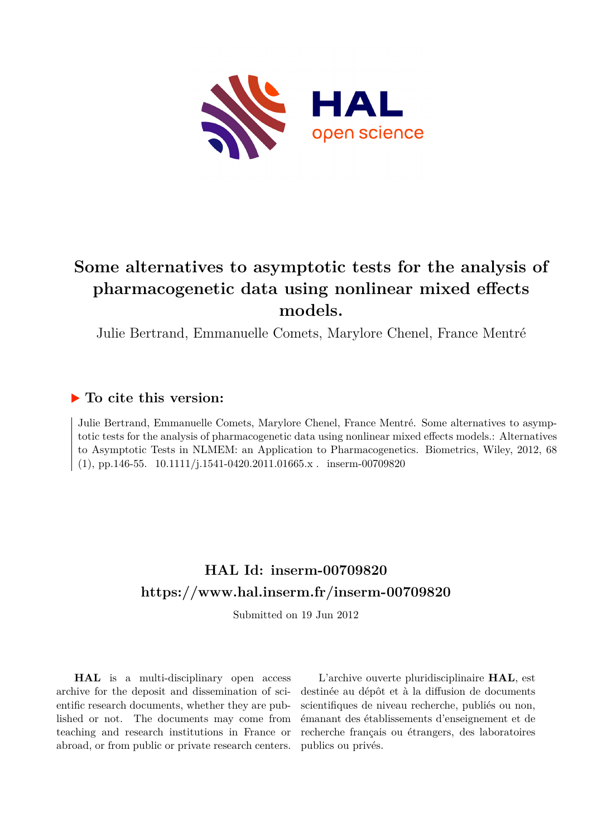

# **Some alternatives to asymptotic tests for the analysis of pharmacogenetic data using nonlinear mixed effects models.**

Julie Bertrand, Emmanuelle Comets, Marylore Chenel, France Mentré

## **To cite this version:**

Julie Bertrand, Emmanuelle Comets, Marylore Chenel, France Mentré. Some alternatives to asymptotic tests for the analysis of pharmacogenetic data using nonlinear mixed effects models.: Alternatives to Asymptotic Tests in NLMEM: an Application to Pharmacogenetics. Biometrics, Wiley, 2012, 68  $(1)$ , pp.146-55.  $10.1111/j.1541-0420.2011.01665.x.$  inserm-00709820

## **HAL Id: inserm-00709820 <https://www.hal.inserm.fr/inserm-00709820>**

Submitted on 19 Jun 2012

**HAL** is a multi-disciplinary open access archive for the deposit and dissemination of scientific research documents, whether they are published or not. The documents may come from teaching and research institutions in France or abroad, or from public or private research centers.

L'archive ouverte pluridisciplinaire **HAL**, est destinée au dépôt et à la diffusion de documents scientifiques de niveau recherche, publiés ou non, émanant des établissements d'enseignement et de recherche français ou étrangers, des laboratoires publics ou privés.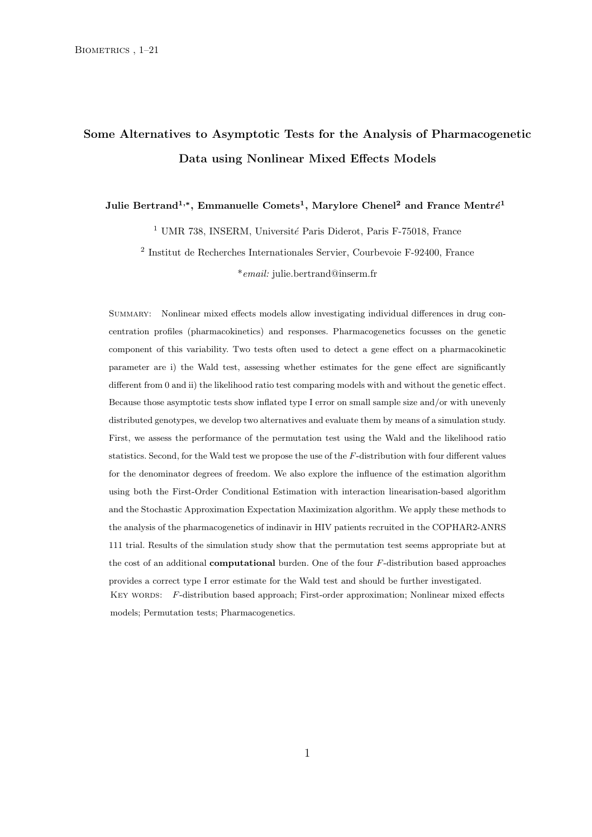## Some Alternatives to Asymptotic Tests for the Analysis of Pharmacogenetic Data using Nonlinear Mixed Effects Models

Julie Bertrand<sup>1,</sup>\*, Emmanuelle Comets<sup>1</sup>, Marylore Chenel<sup>2</sup> and France Mentré<sup>1</sup>

<sup>1</sup> UMR 738, INSERM, Université Paris Diderot, Paris F-75018, France

2 Institut de Recherches Internationales Servier, Courbevoie F-92400, France \*email: julie.bertrand@inserm.fr

SUMMARY: Nonlinear mixed effects models allow investigating individual differences in drug concentration profiles (pharmacokinetics) and responses. Pharmacogenetics focusses on the genetic component of this variability. Two tests often used to detect a gene effect on a pharmacokinetic parameter are i) the Wald test, assessing whether estimates for the gene effect are significantly different from 0 and ii) the likelihood ratio test comparing models with and without the genetic effect. Because those asymptotic tests show inflated type I error on small sample size and/or with unevenly distributed genotypes, we develop two alternatives and evaluate them by means of a simulation study. First, we assess the performance of the permutation test using the Wald and the likelihood ratio statistics. Second, for the Wald test we propose the use of the F-distribution with four different values for the denominator degrees of freedom. We also explore the influence of the estimation algorithm using both the First-Order Conditional Estimation with interaction linearisation-based algorithm and the Stochastic Approximation Expectation Maximization algorithm. We apply these methods to the analysis of the pharmacogenetics of indinavir in HIV patients recruited in the COPHAR2-ANRS 111 trial. Results of the simulation study show that the permutation test seems appropriate but at the cost of an additional computational burden. One of the four F-distribution based approaches provides a correct type I error estimate for the Wald test and should be further investigated. KEY WORDS: F-distribution based approach; First-order approximation; Nonlinear mixed effects models; Permutation tests; Pharmacogenetics.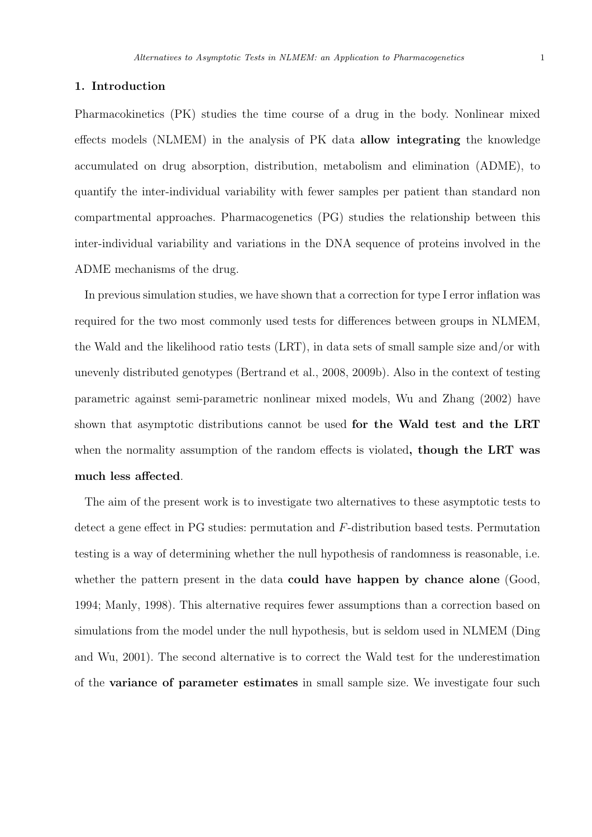## 1. Introduction

Pharmacokinetics (PK) studies the time course of a drug in the body. Nonlinear mixed effects models (NLMEM) in the analysis of PK data allow integrating the knowledge accumulated on drug absorption, distribution, metabolism and elimination (ADME), to quantify the inter-individual variability with fewer samples per patient than standard non compartmental approaches. Pharmacogenetics (PG) studies the relationship between this inter-individual variability and variations in the DNA sequence of proteins involved in the ADME mechanisms of the drug.

In previous simulation studies, we have shown that a correction for type I error inflation was required for the two most commonly used tests for differences between groups in NLMEM, the Wald and the likelihood ratio tests (LRT), in data sets of small sample size and/or with unevenly distributed genotypes (Bertrand et al., 2008, 2009b). Also in the context of testing parametric against semi-parametric nonlinear mixed models, Wu and Zhang (2002) have shown that asymptotic distributions cannot be used for the Wald test and the LRT when the normality assumption of the random effects is violated, though the LRT was much less affected.

The aim of the present work is to investigate two alternatives to these asymptotic tests to detect a gene effect in PG studies: permutation and F-distribution based tests. Permutation testing is a way of determining whether the null hypothesis of randomness is reasonable, i.e. whether the pattern present in the data **could have happen by chance alone** (Good, 1994; Manly, 1998). This alternative requires fewer assumptions than a correction based on simulations from the model under the null hypothesis, but is seldom used in NLMEM (Ding and Wu, 2001). The second alternative is to correct the Wald test for the underestimation of the variance of parameter estimates in small sample size. We investigate four such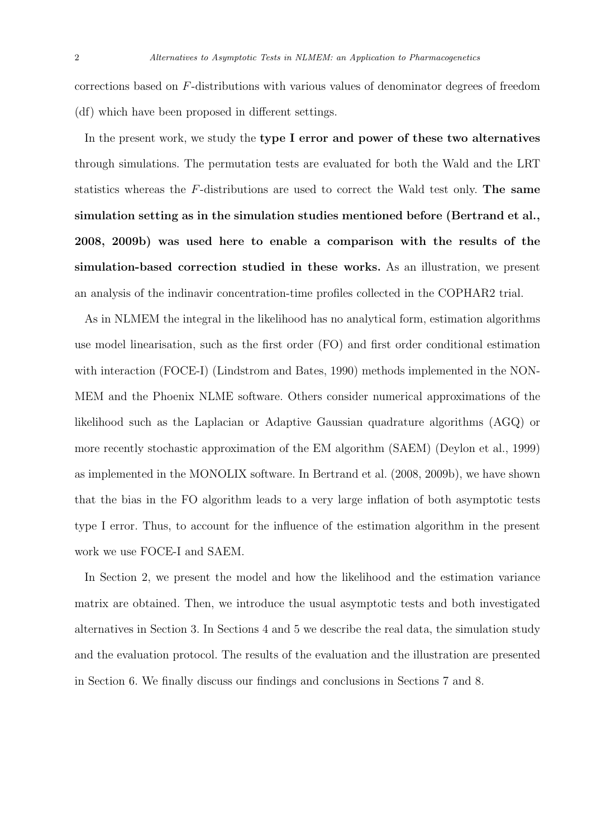corrections based on F-distributions with various values of denominator degrees of freedom (df) which have been proposed in different settings.

In the present work, we study the type I error and power of these two alternatives through simulations. The permutation tests are evaluated for both the Wald and the LRT statistics whereas the F-distributions are used to correct the Wald test only. The same simulation setting as in the simulation studies mentioned before (Bertrand et al., 2008, 2009b) was used here to enable a comparison with the results of the simulation-based correction studied in these works. As an illustration, we present an analysis of the indinavir concentration-time profiles collected in the COPHAR2 trial.

As in NLMEM the integral in the likelihood has no analytical form, estimation algorithms use model linearisation, such as the first order (FO) and first order conditional estimation with interaction (FOCE-I) (Lindstrom and Bates, 1990) methods implemented in the NON-MEM and the Phoenix NLME software. Others consider numerical approximations of the likelihood such as the Laplacian or Adaptive Gaussian quadrature algorithms (AGQ) or more recently stochastic approximation of the EM algorithm (SAEM) (Deylon et al., 1999) as implemented in the MONOLIX software. In Bertrand et al. (2008, 2009b), we have shown that the bias in the FO algorithm leads to a very large inflation of both asymptotic tests type I error. Thus, to account for the influence of the estimation algorithm in the present work we use FOCE-I and SAEM.

In Section 2, we present the model and how the likelihood and the estimation variance matrix are obtained. Then, we introduce the usual asymptotic tests and both investigated alternatives in Section 3. In Sections 4 and 5 we describe the real data, the simulation study and the evaluation protocol. The results of the evaluation and the illustration are presented in Section 6. We finally discuss our findings and conclusions in Sections 7 and 8.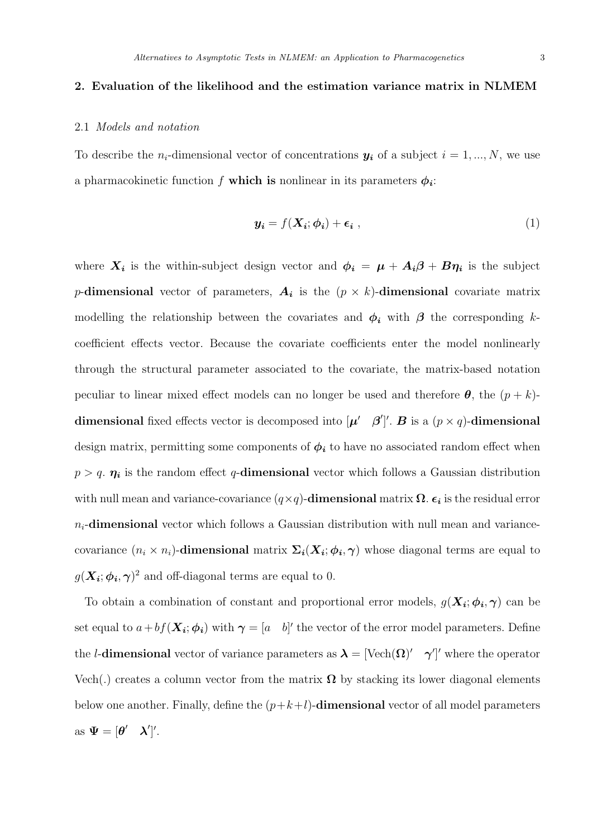## 2. Evaluation of the likelihood and the estimation variance matrix in NLMEM

## 2.1 Models and notation

To describe the  $n_i$ -dimensional vector of concentrations  $y_i$  of a subject  $i = 1, ..., N$ , we use a pharmacokinetic function f which is nonlinear in its parameters  $\phi_i$ :

$$
\mathbf{y_i} = f(\mathbf{X_i}; \boldsymbol{\phi_i}) + \boldsymbol{\epsilon_i} \tag{1}
$$

where  $X_i$  is the within-subject design vector and  $\phi_i = \mu + A_i \beta + B \eta_i$  is the subject p-dimensional vector of parameters,  $A_i$  is the  $(p \times k)$ -dimensional covariate matrix modelling the relationship between the covariates and  $\phi_i$  with  $\beta$  the corresponding kcoefficient effects vector. Because the covariate coefficients enter the model nonlinearly through the structural parameter associated to the covariate, the matrix-based notation peculiar to linear mixed effect models can no longer be used and therefore  $\theta$ , the  $(p + k)$ dimensional fixed effects vector is decomposed into  $[\mu' \quad \beta']'.$  B is a  $(p \times q)$ -dimensional design matrix, permitting some components of  $\phi_i$  to have no associated random effect when  $p > q$ .  $\eta_i$  is the random effect q-dimensional vector which follows a Gaussian distribution with null mean and variance-covariance  $(q \times q)$ -dimensional matrix  $\Omega$ .  $\epsilon_i$  is the residual error  $n_i$ -dimensional vector which follows a Gaussian distribution with null mean and variancecovariance  $(n_i \times n_i)$ -dimensional matrix  $\Sigma_i(X_i; \phi_i, \gamma)$  whose diagonal terms are equal to  $g(\mathbf{X}_i; \boldsymbol{\phi_i}, \boldsymbol{\gamma})^2$  and off-diagonal terms are equal to 0.

To obtain a combination of constant and proportional error models,  $g(\mathbf{X}_i; \phi_i, \gamma)$  can be set equal to  $a + bf(\mathbf{X_i}; \boldsymbol{\phi_i})$  with  $\boldsymbol{\gamma} = [a \quad b]'$  the vector of the error model parameters. Define the *l*-dimensional vector of variance parameters as  $\lambda = [\text{Vech}(\Omega)' \quad \gamma']'$  where the operator Vech(.) creates a column vector from the matrix  $\Omega$  by stacking its lower diagonal elements below one another. Finally, define the  $(p+k+l)$ -dimensional vector of all model parameters as  $\Psi = [\theta' \quad \lambda']'.$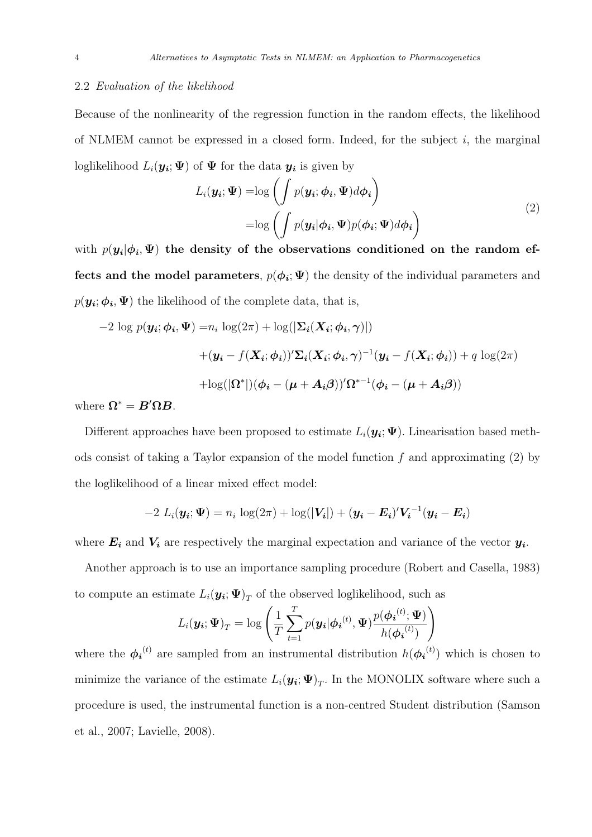### 2.2 Evaluation of the likelihood

Because of the nonlinearity of the regression function in the random effects, the likelihood of NLMEM cannot be expressed in a closed form. Indeed, for the subject  $i$ , the marginal loglikelihood  $L_i(\mathbf{y_i}; \Psi)$  of  $\Psi$  for the data  $\mathbf{y_i}$  is given by

$$
L_i(\mathbf{y_i}; \mathbf{\Psi}) = \log \left( \int p(\mathbf{y_i}; \boldsymbol{\phi_i}, \mathbf{\Psi}) d\boldsymbol{\phi_i} \right)
$$
  
=  $\log \left( \int p(\mathbf{y_i} | \boldsymbol{\phi_i}, \mathbf{\Psi}) p(\boldsymbol{\phi_i}; \mathbf{\Psi}) d\boldsymbol{\phi_i} \right)$  (2)

with  $p(y_i|\phi_i, \Psi)$  the density of the observations conditioned on the random effects and the model parameters,  $p(\phi_i; \Psi)$  the density of the individual parameters and  $p(\mathbf{y_i}; \boldsymbol{\phi_i}, \boldsymbol{\Psi})$  the likelihood of the complete data, that is,

$$
-2 \log p(\mathbf{y_i}; \boldsymbol{\phi_i}, \boldsymbol{\Psi}) = n_i \log(2\pi) + \log(|\boldsymbol{\Sigma_i}(\boldsymbol{X_i}; \boldsymbol{\phi_i}, \boldsymbol{\gamma})|)
$$

$$
+ (\mathbf{y_i} - f(\boldsymbol{X_i}; \boldsymbol{\phi_i}))' \boldsymbol{\Sigma_i}(\boldsymbol{X_i}; \boldsymbol{\phi_i}, \boldsymbol{\gamma})^{-1} (\mathbf{y_i} - f(\boldsymbol{X_i}; \boldsymbol{\phi_i})) + q \log(2\pi)
$$

$$
+ \log(|\boldsymbol{\Omega}^*|) (\boldsymbol{\phi_i} - (\boldsymbol{\mu} + \boldsymbol{A_i}\boldsymbol{\beta}))' \boldsymbol{\Omega}^{*-1} (\boldsymbol{\phi_i} - (\boldsymbol{\mu} + \boldsymbol{A_i}\boldsymbol{\beta}))
$$

where  $\Omega^* = B' \Omega B$ .

Different approaches have been proposed to estimate  $L_i(\mathbf{y}_i; \Psi)$ . Linearisation based methods consist of taking a Taylor expansion of the model function  $f$  and approximating  $(2)$  by the loglikelihood of a linear mixed effect model:

$$
-2 L_i(\boldsymbol{y_i}; \boldsymbol{\Psi}) = n_i \log(2\pi) + \log(|\boldsymbol{V_i}|) + (\boldsymbol{y_i} - \boldsymbol{E_i})' \boldsymbol{V_i}^{-1} (\boldsymbol{y_i} - \boldsymbol{E_i})
$$

where  $E_i$  and  $V_i$  are respectively the marginal expectation and variance of the vector  $y_i$ .

Another approach is to use an importance sampling procedure (Robert and Casella, 1983) to compute an estimate  $L_i(\mathbf{y_i}; \mathbf{\Psi})_T$  of the observed loglikelihood, such as

$$
L_i(\boldsymbol{y_i};\boldsymbol{\Psi})_T = \log \left( \frac{1}{T} \sum_{t=1}^T p(\boldsymbol{y_i}|\boldsymbol{\phi_i}^{(t)},\boldsymbol{\Psi}) \frac{p(\boldsymbol{\phi_i}^{(t)};\boldsymbol{\Psi})}{h(\boldsymbol{\phi_i}^{(t)})} \right)
$$

where the  $\phi_i^{(t)}$  are sampled from an instrumental distribution  $h(\phi_i^{(t)})$  which is chosen to minimize the variance of the estimate  $L_i(\mathbf{y_i}; \mathbf{\Psi})_T$ . In the MONOLIX software where such a procedure is used, the instrumental function is a non-centred Student distribution (Samson et al., 2007; Lavielle, 2008).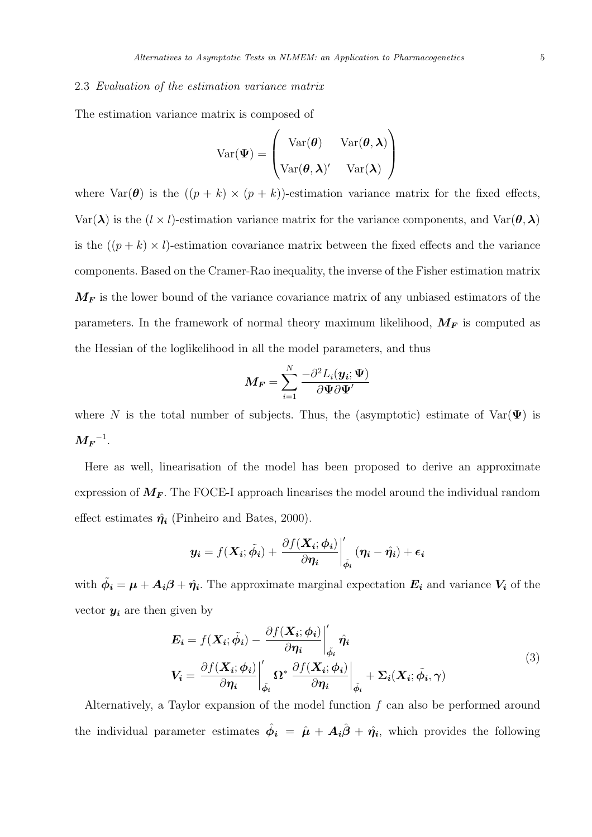### 2.3 Evaluation of the estimation variance matrix

The estimation variance matrix is composed of

$$
Var(\mathbf{\Psi}) = \begin{pmatrix} Var(\boldsymbol{\theta}) & Var(\boldsymbol{\theta}, \boldsymbol{\lambda}) \\ Var(\boldsymbol{\theta}, \boldsymbol{\lambda})' & Var(\boldsymbol{\lambda}) \end{pmatrix}
$$

where  $\text{Var}(\boldsymbol{\theta})$  is the  $((p + k) \times (p + k))$ -estimation variance matrix for the fixed effects, Var( $\lambda$ ) is the (l × l)-estimation variance matrix for the variance components, and Var( $\theta$ ,  $\lambda$ ) is the  $((p + k) \times l)$ -estimation covariance matrix between the fixed effects and the variance components. Based on the Cramer-Rao inequality, the inverse of the Fisher estimation matrix  $M_F$  is the lower bound of the variance covariance matrix of any unbiased estimators of the parameters. In the framework of normal theory maximum likelihood,  $M_F$  is computed as the Hessian of the loglikelihood in all the model parameters, and thus

$$
\boldsymbol{M_F} = \sum_{i=1}^N \frac{-\partial^2 L_i(\boldsymbol{y_i}; \boldsymbol{\Psi})}{\partial \boldsymbol{\Psi} \partial \boldsymbol{\Psi}^\prime}
$$

where N is the total number of subjects. Thus, the (asymptotic) estimate of  $Var(\Psi)$  is  $\boldsymbol{M_F}^{-1}.$ 

Here as well, linearisation of the model has been proposed to derive an approximate expression of  $M_F$ . The FOCE-I approach linearises the model around the individual random effect estimates  $\hat{\eta}_i$  (Pinheiro and Bates, 2000).

$$
\mathbf{y_i} = f(\mathbf{X_i}; \tilde{\phi_i}) + \left. \frac{\partial f(\mathbf{X_i}; \phi_i)}{\partial \eta_i} \right|_{\tilde{\phi_i}}' (\eta_i - \hat{\eta_i}) + \epsilon_i
$$

with  $\tilde{\phi}_i = \mu + A_i \beta + \hat{\eta}_i$ . The approximate marginal expectation  $E_i$  and variance  $V_i$  of the vector  $y_i$  are then given by

$$
E_{i} = f(X_{i}; \tilde{\phi}_{i}) - \frac{\partial f(X_{i}; \phi_{i})}{\partial \eta_{i}} \Big|_{\tilde{\phi}_{i}}' \hat{\eta}_{i}
$$
  

$$
V_{i} = \frac{\partial f(X_{i}; \phi_{i})}{\partial \eta_{i}} \Big|_{\tilde{\phi}_{i}}' \Omega^{*} \frac{\partial f(X_{i}; \phi_{i})}{\partial \eta_{i}} \Big|_{\tilde{\phi}_{i}} + \Sigma_{i}(X_{i}; \tilde{\phi}_{i}, \gamma)
$$
(3)

Alternatively, a Taylor expansion of the model function  $f$  can also be performed around the individual parameter estimates  $\hat{\phi}_i = \hat{\mu} + A_i \hat{\beta} + \hat{\eta}_i$ , which provides the following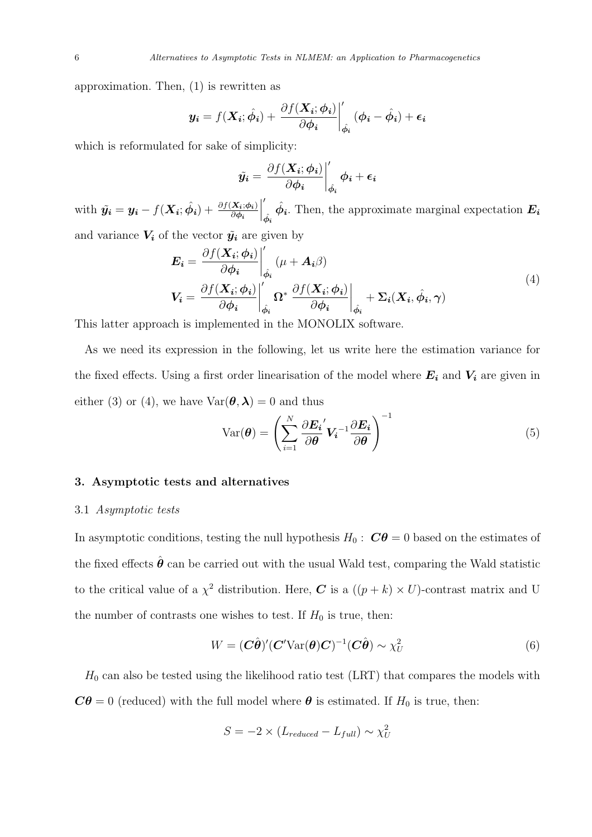approximation. Then, (1) is rewritten as

$$
\mathbf{y_i} = f(\mathbf{X_i}; \hat{\phi_i}) + \left. \frac{\partial f(\mathbf{X_i}; \phi_i)}{\partial \phi_i} \right|_{\hat{\phi_i}}' (\phi_i - \hat{\phi_i}) + \epsilon_i
$$

which is reformulated for sake of simplicity:

$$
\tilde{y_i} = \frac{\partial f(\boldsymbol{X_i}; \boldsymbol{\phi_i})}{\partial \boldsymbol{\phi_i}} \bigg|_{\hat{\boldsymbol{\phi}_i}}' \boldsymbol{\phi_i} + \boldsymbol{\epsilon_i}
$$

with  $\tilde{\mathbf{y_i}} = \mathbf{y_i} - f(\mathbf{X_i}; \hat{\phi_i}) + \frac{\partial f(\mathbf{X_i}; \phi_i)}{\partial \phi_i}$  $\begin{array}{c} \hline \end{array}$ ′  $\hat{\phi_i}$  $\hat{\phi_i}$ . Then, the approximate marginal expectation  $E_i$ and variance  $V_i$  of the vector  $\tilde{y}_i$  are given by

$$
E_{i} = \frac{\partial f(X_{i}; \phi_{i})}{\partial \phi_{i}} \Big|_{\hat{\phi}_{i}}' (\mu + A_{i}\beta)
$$
  
\n
$$
V_{i} = \frac{\partial f(X_{i}; \phi_{i})}{\partial \phi_{i}} \Big|_{\hat{\phi}_{i}}' \Omega^{*} \frac{\partial f(X_{i}; \phi_{i})}{\partial \phi_{i}} \Big|_{\hat{\phi}_{i}} + \Sigma_{i}(X_{i}, \hat{\phi}_{i}, \gamma)
$$
\n(4)

This latter approach is implemented in the MONOLIX software.

As we need its expression in the following, let us write here the estimation variance for the fixed effects. Using a first order linearisation of the model where  $E_i$  and  $V_i$  are given in either (3) or (4), we have  $Var(\theta, \lambda) = 0$  and thus

$$
Var(\boldsymbol{\theta}) = \left(\sum_{i=1}^{N} \frac{\partial \boldsymbol{E_i}'}{\partial \boldsymbol{\theta}}' \boldsymbol{V_i}^{-1} \frac{\partial \boldsymbol{E_i}}{\partial \boldsymbol{\theta}}\right)^{-1}
$$
(5)

## 3. Asymptotic tests and alternatives

## 3.1 Asymptotic tests

In asymptotic conditions, testing the null hypothesis  $H_0: \mathbb{C}\theta = 0$  based on the estimates of the fixed effects  $\hat{\boldsymbol{\theta}}$  can be carried out with the usual Wald test, comparing the Wald statistic to the critical value of a  $\chi^2$  distribution. Here,  $C$  is a  $((p+k) \times U)$ -contrast matrix and U the number of contrasts one wishes to test. If  $H_0$  is true, then:

$$
W = (\mathbf{C}\hat{\boldsymbol{\theta}})' (\mathbf{C}' \text{Var}(\boldsymbol{\theta}) \mathbf{C})^{-1} (\mathbf{C}\hat{\boldsymbol{\theta}}) \sim \chi_U^2
$$
 (6)

 $H_0$  can also be tested using the likelihood ratio test (LRT) that compares the models with  $C\theta = 0$  (reduced) with the full model where  $\theta$  is estimated. If  $H_0$  is true, then:

$$
S = -2 \times (L_{reduced} - L_{full}) \sim \chi_U^2
$$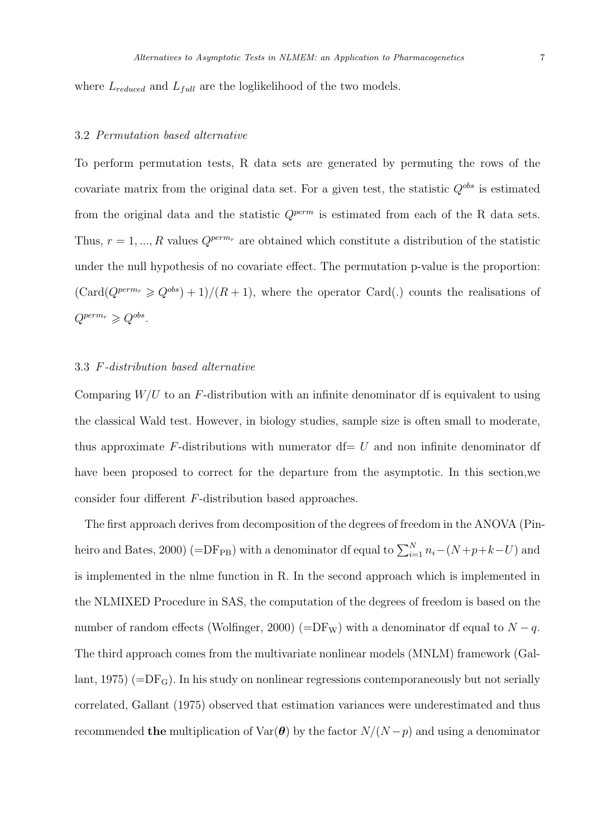where  $L_{reduced}$  and  $L_{full}$  are the loglikelihood of the two models.

#### 3.2 Permutation based alternative

To perform permutation tests, R data sets are generated by permuting the rows of the covariate matrix from the original data set. For a given test, the statistic  $Q^{obs}$  is estimated from the original data and the statistic  $Q^{perm}$  is estimated from each of the R data sets. Thus,  $r = 1, ..., R$  values  $Q^{perm_r}$  are obtained which constitute a distribution of the statistic under the null hypothesis of no covariate effect. The permutation p-value is the proportion:  $(\text{Card}(Q^{perm_r} \geq Q^{obs}) + 1)/(R + 1)$ , where the operator Card(.) counts the realisations of  $Q^{perm_r} \geqslant Q^{obs}.$ 

## 3.3 F-distribution based alternative

Comparing  $W/U$  to an F-distribution with an infinite denominator df is equivalent to using the classical Wald test. However, in biology studies, sample size is often small to moderate, thus approximate F-distributions with numerator  $df = U$  and non infinite denominator df have been proposed to correct for the departure from the asymptotic. In this section,we consider four different F-distribution based approaches.

The first approach derives from decomposition of the degrees of freedom in the ANOVA (Pinheiro and Bates, 2000) (=DF<sub>PB</sub>) with a denominator df equal to  $\sum_{i=1}^{N} n_i - (N + p + k - U)$  and is implemented in the nlme function in R. In the second approach which is implemented in the NLMIXED Procedure in SAS, the computation of the degrees of freedom is based on the number of random effects (Wolfinger, 2000) (=DF<sub>W</sub>) with a denominator df equal to  $N - q$ . The third approach comes from the multivariate nonlinear models (MNLM) framework (Gallant, 1975)  $(=DF_G)$ . In his study on nonlinear regressions contemporaneously but not serially correlated, Gallant (1975) observed that estimation variances were underestimated and thus recommended the multiplication of  $Var(\theta)$  by the factor  $N/(N-p)$  and using a denominator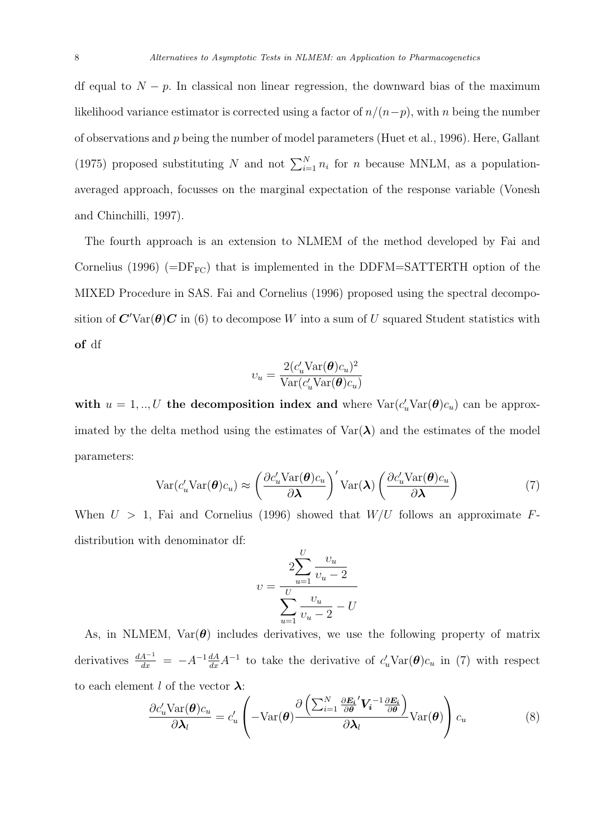df equal to  $N - p$ . In classical non linear regression, the downward bias of the maximum likelihood variance estimator is corrected using a factor of  $n/(n-p)$ , with n being the number of observations and p being the number of model parameters (Huet et al., 1996). Here, Gallant (1975) proposed substituting N and not  $\sum_{i=1}^{N} n_i$  for n because MNLM, as a populationaveraged approach, focusses on the marginal expectation of the response variable (Vonesh and Chinchilli, 1997).

The fourth approach is an extension to NLMEM of the method developed by Fai and Cornelius (1996) ( $=DF_{FC}$ ) that is implemented in the DDFM=SATTERTH option of the MIXED Procedure in SAS. Fai and Cornelius (1996) proposed using the spectral decomposition of  $\mathbf{C}'\text{Var}(\theta)\mathbf{C}$  in (6) to decompose W into a sum of U squared Student statistics with of df

$$
v_u = \frac{2(c'_u \text{Var}(\boldsymbol{\theta})c_u)^2}{\text{Var}(c'_u \text{Var}(\boldsymbol{\theta})c_u)}
$$

with  $u = 1, ..., U$  the decomposition index and where  $Var(c_u'Var(\theta)c_u)$  can be approximated by the delta method using the estimates of  $Var(\lambda)$  and the estimates of the model parameters:

$$
Var(c'_{u}Var(\boldsymbol{\theta})c_{u}) \approx \left(\frac{\partial c'_{u}Var(\boldsymbol{\theta})c_{u}}{\partial \boldsymbol{\lambda}}\right)' Var(\boldsymbol{\lambda}) \left(\frac{\partial c'_{u}Var(\boldsymbol{\theta})c_{u}}{\partial \boldsymbol{\lambda}}\right)
$$
(7)

When  $U > 1$ , Fai and Cornelius (1996) showed that  $W/U$  follows an approximate Fdistribution with denominator df:

$$
v = \frac{2\sum_{u=1}^{U} \frac{v_u}{v_u - 2}}{\sum_{u=1}^{U} \frac{v_u}{v_u - 2} - U}
$$

As, in NLMEM,  $Var(\theta)$  includes derivatives, we use the following property of matrix derivatives  $\frac{dA^{-1}}{dx} = -A^{-1}\frac{dA}{dx}A^{-1}$  to take the derivative of  $c'_u$ Var $(\theta)c_u$  in (7) with respect to each element l of the vector  $\lambda$ :

$$
\frac{\partial c'_{u} \text{Var}(\boldsymbol{\theta})c_{u}}{\partial \boldsymbol{\lambda}_{l}} = c'_{u} \left( -\text{Var}(\boldsymbol{\theta}) \frac{\partial \left( \sum_{i=1}^{N} \frac{\partial \boldsymbol{E}_{i}}{\partial \boldsymbol{\theta}}' \boldsymbol{V}_{i}^{-1} \frac{\partial \boldsymbol{E}_{i}}{\partial \boldsymbol{\theta}} \right)}{\partial \boldsymbol{\lambda}_{l}} \text{Var}(\boldsymbol{\theta}) \right) c_{u}
$$
(8)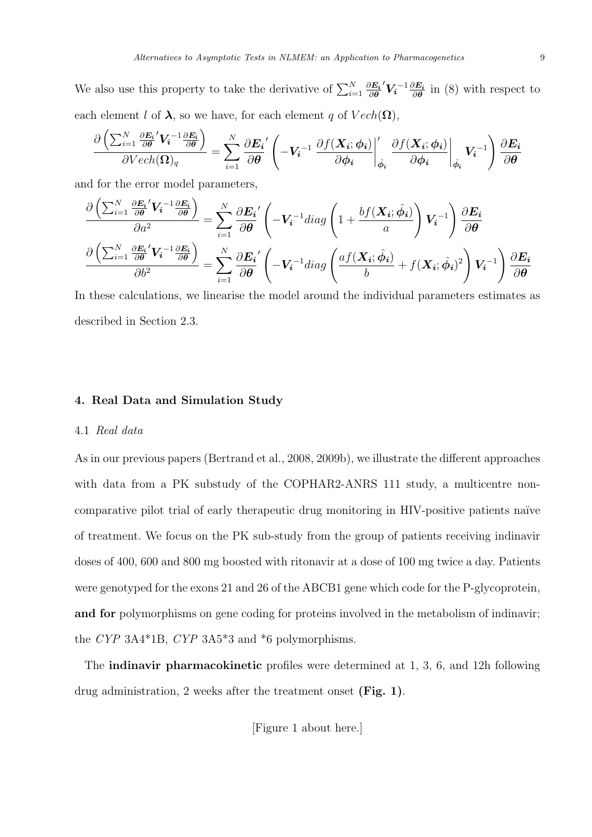We also use this property to take the derivative of  $\sum_{i=1}^{N} \frac{\partial E_i}{\partial \theta}$ ∂θ  ${}^{'}V_i{}^{-1} \frac{\partial E_i}{\partial \theta}$  $\frac{\partial E_i}{\partial \theta}$  in (8) with respect to each element l of  $\lambda$ , so we have, for each element q of  $Vech(\Omega)$ ,

$$
\frac{\partial \left( \sum_{i=1}^{N} \frac{\partial E_i}{\partial \theta'} V_i^{-1} \frac{\partial E_i}{\partial \theta} \right)}{\partial Vech(\Omega)_q} = \sum_{i=1}^{N} \frac{\partial E_i}{\partial \theta} \left( -V_i^{-1} \left. \frac{\partial f(X_i; \phi_i)}{\partial \phi_i} \right|_{\hat{\phi}_i} \left. \frac{\partial f(X_i; \phi_i)}{\partial \phi_i} \right|_{\hat{\phi}_i} V_i^{-1} \right) \frac{\partial E_i}{\partial \theta}
$$

and for the error model parameters,

$$
\frac{\partial \left( \sum_{i=1}^{N} \frac{\partial E_i}{\partial \theta}^{'} V_i^{-1} \frac{\partial E_i}{\partial \theta} \right)}{\partial a^2} = \sum_{i=1}^{N} \frac{\partial E_i}{\partial \theta}^{'} \left( -V_i^{-1} diag \left( 1 + \frac{b f(X_i; \hat{\phi}_i)}{a} \right) V_i^{-1} \right) \frac{\partial E_i}{\partial \theta}
$$

$$
\frac{\partial \left( \sum_{i=1}^{N} \frac{\partial E_i}{\partial \theta}^{'} V_i^{-1} \frac{\partial E_i}{\partial \theta} \right)}{\partial b^2} = \sum_{i=1}^{N} \frac{\partial E_i}{\partial \theta}^{'} \left( -V_i^{-1} diag \left( \frac{af(X_i; \hat{\phi}_i)}{b} + f(X_i; \hat{\phi}_i)^2 \right) V_i^{-1} \right) \frac{\partial E_i}{\partial \theta}
$$

In these calculations, we linearise the model around the individual parameters estimates as described in Section 2.3.

## 4. Real Data and Simulation Study

## 4.1 Real data

As in our previous papers (Bertrand et al., 2008, 2009b), we illustrate the different approaches with data from a PK substudy of the COPHAR2-ANRS 111 study, a multicentre noncomparative pilot trial of early therapeutic drug monitoring in HIV-positive patients na¨ıve of treatment. We focus on the PK sub-study from the group of patients receiving indinavir doses of 400, 600 and 800 mg boosted with ritonavir at a dose of 100 mg twice a day. Patients were genotyped for the exons 21 and 26 of the ABCB1 gene which code for the P-glycoprotein, and for polymorphisms on gene coding for proteins involved in the metabolism of indinavir; the CYP 3A4\*1B, CYP 3A5\*3 and \*6 polymorphisms.

The indinavir pharmacokinetic profiles were determined at 1, 3, 6, and 12h following drug administration, 2 weeks after the treatment onset (Fig. 1).

[Figure 1 about here.]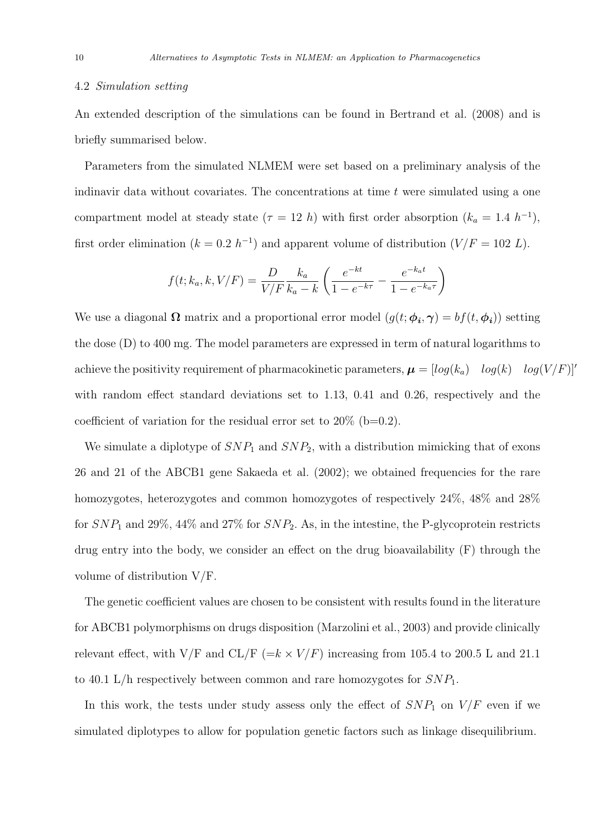#### 4.2 Simulation setting

An extended description of the simulations can be found in Bertrand et al. (2008) and is briefly summarised below.

Parameters from the simulated NLMEM were set based on a preliminary analysis of the indinavir data without covariates. The concentrations at time  $t$  were simulated using a one compartment model at steady state ( $\tau = 12 h$ ) with first order absorption ( $k_a = 1.4 h^{-1}$ ), first order elimination  $(k = 0.2 h^{-1})$  and apparent volume of distribution  $(V/F = 102 L)$ .

$$
f(t; k_a, k, V/F) = \frac{D}{V/F} \frac{k_a}{k_a - k} \left( \frac{e^{-kt}}{1 - e^{-k\tau}} - \frac{e^{-k_a t}}{1 - e^{-k_a \tau}} \right)
$$

We use a diagonal  $\Omega$  matrix and a proportional error model  $(g(t; \phi_i, \gamma) = bf(t, \phi_i))$  setting the dose (D) to 400 mg. The model parameters are expressed in term of natural logarithms to achieve the positivity requirement of pharmacokinetic parameters,  $\boldsymbol{\mu} = [log(k_a) \quad log(k) \quad log(V/F)]'$ with random effect standard deviations set to 1.13, 0.41 and 0.26, respectively and the coefficient of variation for the residual error set to  $20\%$  (b=0.2).

We simulate a diplotype of  $SNP_1$  and  $SNP_2$ , with a distribution mimicking that of exons 26 and 21 of the ABCB1 gene Sakaeda et al. (2002); we obtained frequencies for the rare homozygotes, heterozygotes and common homozygotes of respectively 24\%, 48\% and 28\% for  $SNP_1$  and 29%, 44% and 27% for  $SNP_2$ . As, in the intestine, the P-glycoprotein restricts drug entry into the body, we consider an effect on the drug bioavailability (F) through the volume of distribution V/F.

The genetic coefficient values are chosen to be consistent with results found in the literature for ABCB1 polymorphisms on drugs disposition (Marzolini et al., 2003) and provide clinically relevant effect, with V/F and CL/F ( $=k \times V/F$ ) increasing from 105.4 to 200.5 L and 21.1 to 40.1 L/h respectively between common and rare homozygotes for  $SNP_1$ .

In this work, the tests under study assess only the effect of  $SNP_1$  on  $V/F$  even if we simulated diplotypes to allow for population genetic factors such as linkage disequilibrium.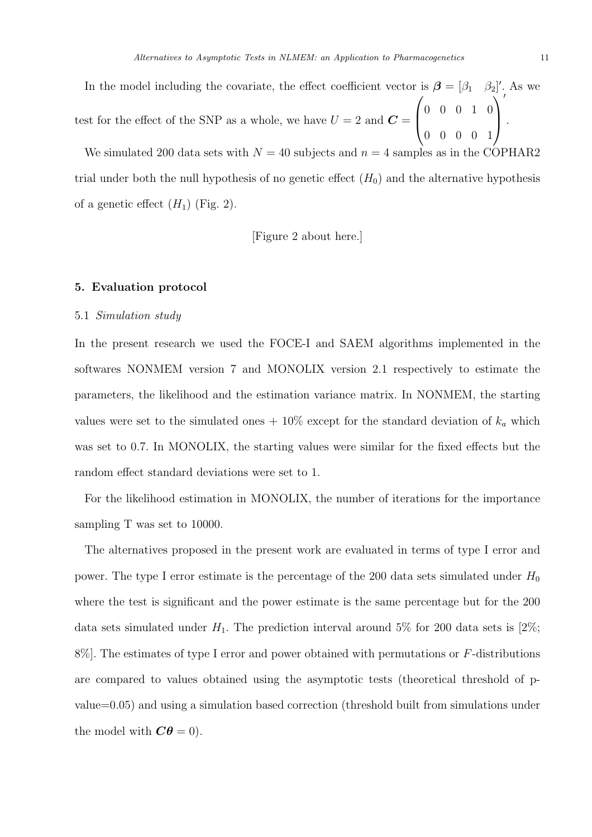In the model including the covariate, the effect coefficient vector is  $\boldsymbol{\beta} = [\beta_1 \quad \beta_2]'$ . As we test for the effect of the SNP as a whole, we have  $U = 2$  and  $\boldsymbol{C} =$  $\sqrt{ }$  $\left\lfloor \right\rfloor$ 0 0 0 1 0 0 0 0 0 1  $\setminus$  $\Big\}$ ′ .

We simulated 200 data sets with  $N = 40$  subjects and  $n = 4$  samples as in the COPHAR2 trial under both the null hypothesis of no genetic effect  $(H_0)$  and the alternative hypothesis of a genetic effect  $(H_1)$  (Fig. 2).

[Figure 2 about here.]

### 5. Evaluation protocol

## 5.1 Simulation study

In the present research we used the FOCE-I and SAEM algorithms implemented in the softwares NONMEM version 7 and MONOLIX version 2.1 respectively to estimate the parameters, the likelihood and the estimation variance matrix. In NONMEM, the starting values were set to the simulated ones  $+ 10\%$  except for the standard deviation of  $k_a$  which was set to 0.7. In MONOLIX, the starting values were similar for the fixed effects but the random effect standard deviations were set to 1.

For the likelihood estimation in MONOLIX, the number of iterations for the importance sampling T was set to 10000.

The alternatives proposed in the present work are evaluated in terms of type I error and power. The type I error estimate is the percentage of the 200 data sets simulated under  $H_0$ where the test is significant and the power estimate is the same percentage but for the 200 data sets simulated under  $H_1$ . The prediction interval around 5% for 200 data sets is [2%;  $8\%$ . The estimates of type I error and power obtained with permutations or F-distributions are compared to values obtained using the asymptotic tests (theoretical threshold of pvalue=0.05) and using a simulation based correction (threshold built from simulations under the model with  $C\theta = 0$ .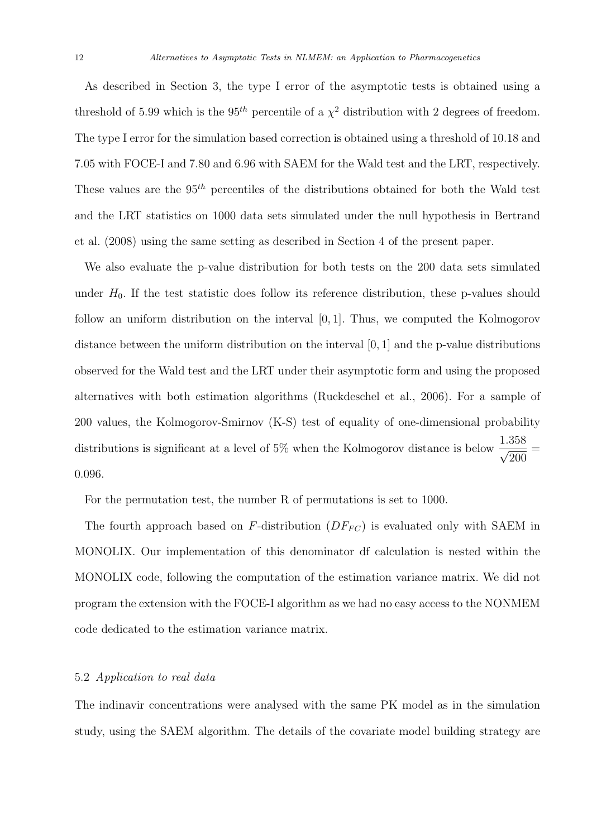As described in Section 3, the type I error of the asymptotic tests is obtained using a threshold of 5.99 which is the 95<sup>th</sup> percentile of a  $\chi^2$  distribution with 2 degrees of freedom. The type I error for the simulation based correction is obtained using a threshold of 10.18 and 7.05 with FOCE-I and 7.80 and 6.96 with SAEM for the Wald test and the LRT, respectively. These values are the  $95<sup>th</sup>$  percentiles of the distributions obtained for both the Wald test and the LRT statistics on 1000 data sets simulated under the null hypothesis in Bertrand et al. (2008) using the same setting as described in Section 4 of the present paper.

We also evaluate the p-value distribution for both tests on the 200 data sets simulated under  $H_0$ . If the test statistic does follow its reference distribution, these p-values should follow an uniform distribution on the interval [0, 1]. Thus, we computed the Kolmogorov distance between the uniform distribution on the interval [0, 1] and the p-value distributions observed for the Wald test and the LRT under their asymptotic form and using the proposed alternatives with both estimation algorithms (Ruckdeschel et al., 2006). For a sample of 200 values, the Kolmogorov-Smirnov (K-S) test of equality of one-dimensional probability distributions is significant at a level of 5% when the Kolmogorov distance is below  $\frac{1.358}{\sqrt{200}}$ = 0.096.

For the permutation test, the number R of permutations is set to 1000.

The fourth approach based on  $F$ -distribution  $(DF_{FC})$  is evaluated only with SAEM in MONOLIX. Our implementation of this denominator df calculation is nested within the MONOLIX code, following the computation of the estimation variance matrix. We did not program the extension with the FOCE-I algorithm as we had no easy access to the NONMEM code dedicated to the estimation variance matrix.

#### 5.2 Application to real data

The indinavir concentrations were analysed with the same PK model as in the simulation study, using the SAEM algorithm. The details of the covariate model building strategy are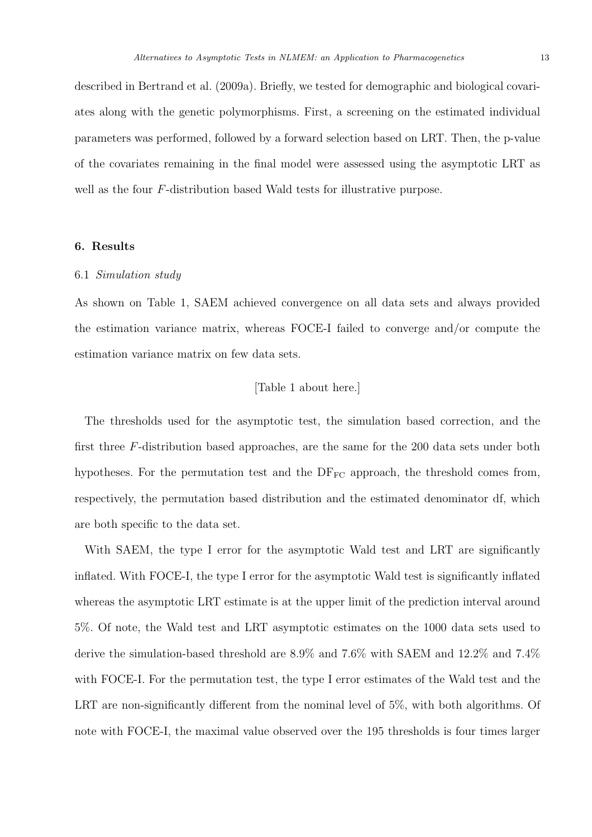described in Bertrand et al. (2009a). Briefly, we tested for demographic and biological covariates along with the genetic polymorphisms. First, a screening on the estimated individual parameters was performed, followed by a forward selection based on LRT. Then, the p-value of the covariates remaining in the final model were assessed using the asymptotic LRT as well as the four F-distribution based Wald tests for illustrative purpose.

## 6. Results

#### 6.1 Simulation study

As shown on Table 1, SAEM achieved convergence on all data sets and always provided the estimation variance matrix, whereas FOCE-I failed to converge and/or compute the estimation variance matrix on few data sets.

## [Table 1 about here.]

The thresholds used for the asymptotic test, the simulation based correction, and the first three F-distribution based approaches, are the same for the 200 data sets under both hypotheses. For the permutation test and the  $DF_{FC}$  approach, the threshold comes from, respectively, the permutation based distribution and the estimated denominator df, which are both specific to the data set.

With SAEM, the type I error for the asymptotic Wald test and LRT are significantly inflated. With FOCE-I, the type I error for the asymptotic Wald test is significantly inflated whereas the asymptotic LRT estimate is at the upper limit of the prediction interval around 5%. Of note, the Wald test and LRT asymptotic estimates on the 1000 data sets used to derive the simulation-based threshold are 8.9% and 7.6% with SAEM and 12.2% and 7.4% with FOCE-I. For the permutation test, the type I error estimates of the Wald test and the LRT are non-significantly different from the nominal level of 5%, with both algorithms. Of note with FOCE-I, the maximal value observed over the 195 thresholds is four times larger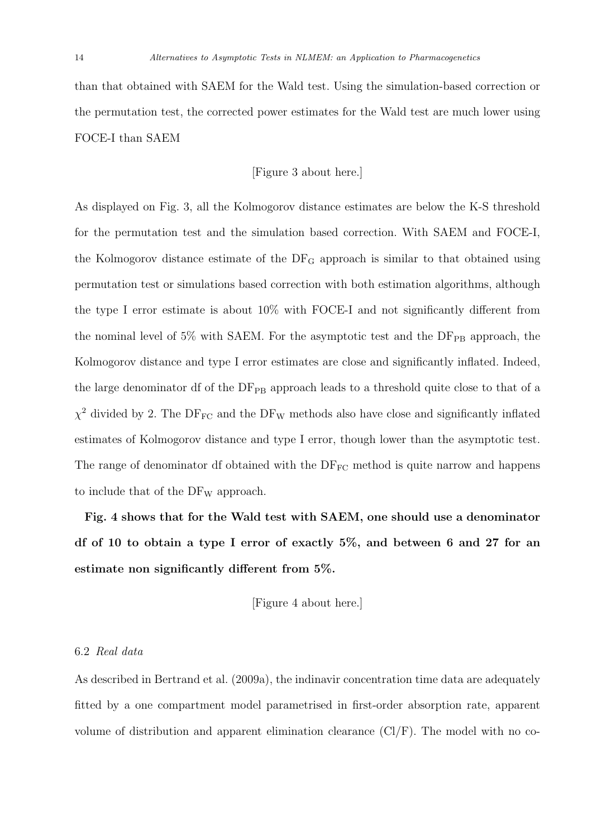than that obtained with SAEM for the Wald test. Using the simulation-based correction or the permutation test, the corrected power estimates for the Wald test are much lower using FOCE-I than SAEM

## [Figure 3 about here.]

As displayed on Fig. 3, all the Kolmogorov distance estimates are below the K-S threshold for the permutation test and the simulation based correction. With SAEM and FOCE-I, the Kolmogorov distance estimate of the  $DF_G$  approach is similar to that obtained using permutation test or simulations based correction with both estimation algorithms, although the type I error estimate is about 10% with FOCE-I and not significantly different from the nominal level of  $5\%$  with SAEM. For the asymptotic test and the  $DF_{PB}$  approach, the Kolmogorov distance and type I error estimates are close and significantly inflated. Indeed, the large denominator df of the  $DF_{PB}$  approach leads to a threshold quite close to that of a  $\chi^2$  divided by 2. The DF<sub>FC</sub> and the DF<sub>W</sub> methods also have close and significantly inflated estimates of Kolmogorov distance and type I error, though lower than the asymptotic test. The range of denominator df obtained with the  $DF_{FC}$  method is quite narrow and happens to include that of the  $DF_W$  approach.

Fig. 4 shows that for the Wald test with SAEM, one should use a denominator df of 10 to obtain a type I error of exactly 5%, and between 6 and 27 for an estimate non significantly different from 5%.

[Figure 4 about here.]

## 6.2 Real data

As described in Bertrand et al. (2009a), the indinavir concentration time data are adequately fitted by a one compartment model parametrised in first-order absorption rate, apparent volume of distribution and apparent elimination clearance  $(Cl/F)$ . The model with no co-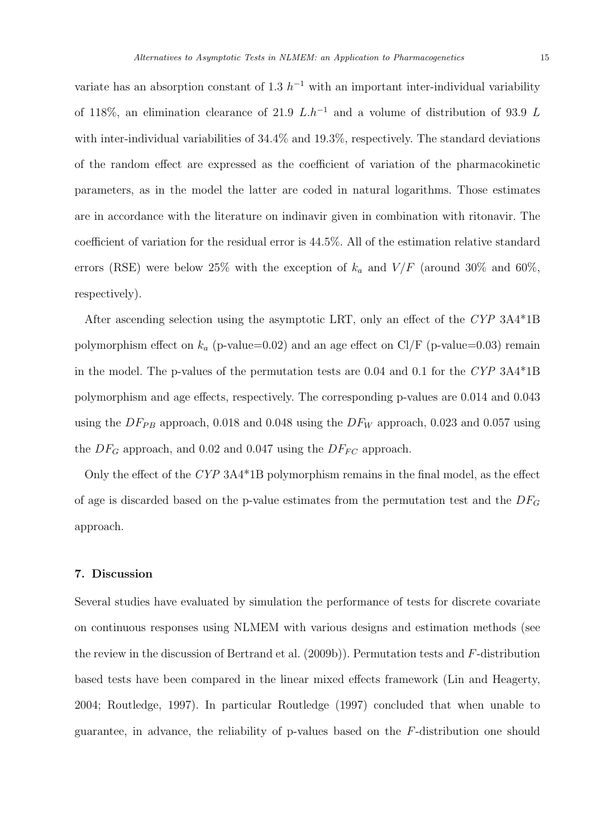variate has an absorption constant of 1.3  $h^{-1}$  with an important inter-individual variability of 118%, an elimination clearance of 21.9  $L \cdot h^{-1}$  and a volume of distribution of 93.9 L with inter-individual variabilities of 34.4% and 19.3%, respectively. The standard deviations of the random effect are expressed as the coefficient of variation of the pharmacokinetic parameters, as in the model the latter are coded in natural logarithms. Those estimates are in accordance with the literature on indinavir given in combination with ritonavir. The coefficient of variation for the residual error is 44.5%. All of the estimation relative standard errors (RSE) were below 25% with the exception of  $k_a$  and  $V/F$  (around 30% and 60%,

After ascending selection using the asymptotic LRT, only an effect of the CYP 3A4\*1B polymorphism effect on  $k_a$  (p-value=0.02) and an age effect on Cl/F (p-value=0.03) remain in the model. The p-values of the permutation tests are 0.04 and 0.1 for the CYP 3A4\*1B polymorphism and age effects, respectively. The corresponding p-values are 0.014 and 0.043 using the  $DF_{PB}$  approach, 0.018 and 0.048 using the  $DF_W$  approach, 0.023 and 0.057 using the  $DF_G$  approach, and 0.02 and 0.047 using the  $DF_{FC}$  approach.

Only the effect of the CYP 3A4\*1B polymorphism remains in the final model, as the effect of age is discarded based on the p-value estimates from the permutation test and the  $DF_G$ approach.

## 7. Discussion

respectively).

Several studies have evaluated by simulation the performance of tests for discrete covariate on continuous responses using NLMEM with various designs and estimation methods (see the review in the discussion of Bertrand et al. (2009b)). Permutation tests and F-distribution based tests have been compared in the linear mixed effects framework (Lin and Heagerty, 2004; Routledge, 1997). In particular Routledge (1997) concluded that when unable to guarantee, in advance, the reliability of p-values based on the F-distribution one should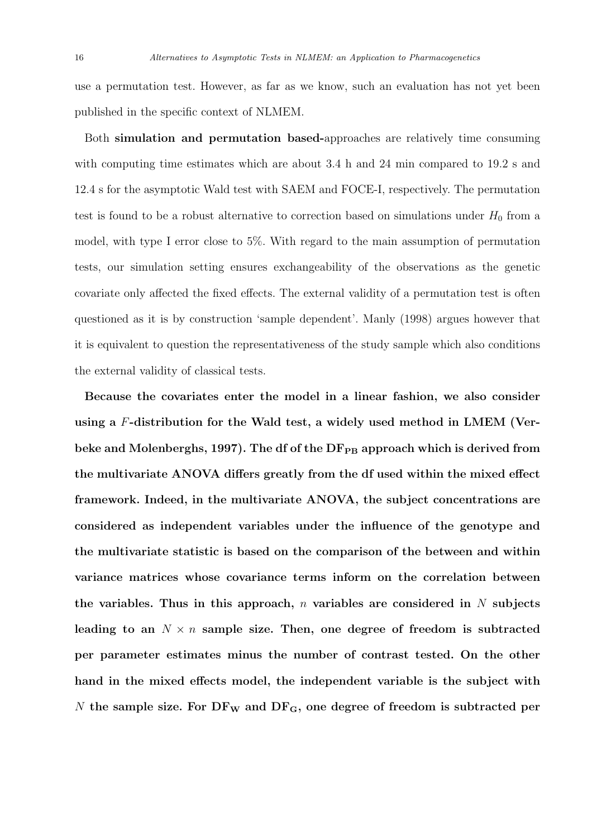use a permutation test. However, as far as we know, such an evaluation has not yet been published in the specific context of NLMEM.

Both simulation and permutation based-approaches are relatively time consuming with computing time estimates which are about 3.4 h and 24 min compared to 19.2 s and 12.4 s for the asymptotic Wald test with SAEM and FOCE-I, respectively. The permutation test is found to be a robust alternative to correction based on simulations under  $H_0$  from a model, with type I error close to 5%. With regard to the main assumption of permutation tests, our simulation setting ensures exchangeability of the observations as the genetic covariate only affected the fixed effects. The external validity of a permutation test is often questioned as it is by construction 'sample dependent'. Manly (1998) argues however that it is equivalent to question the representativeness of the study sample which also conditions the external validity of classical tests.

Because the covariates enter the model in a linear fashion, we also consider using a F-distribution for the Wald test, a widely used method in LMEM (Verbeke and Molenberghs, 1997). The df of the  $DF_{PB}$  approach which is derived from the multivariate ANOVA differs greatly from the df used within the mixed effect framework. Indeed, in the multivariate ANOVA, the subject concentrations are considered as independent variables under the influence of the genotype and the multivariate statistic is based on the comparison of the between and within variance matrices whose covariance terms inform on the correlation between the variables. Thus in this approach, n variables are considered in  $N$  subjects leading to an  $N \times n$  sample size. Then, one degree of freedom is subtracted per parameter estimates minus the number of contrast tested. On the other hand in the mixed effects model, the independent variable is the subject with N the sample size. For  $DF_W$  and  $DF_G$ , one degree of freedom is subtracted per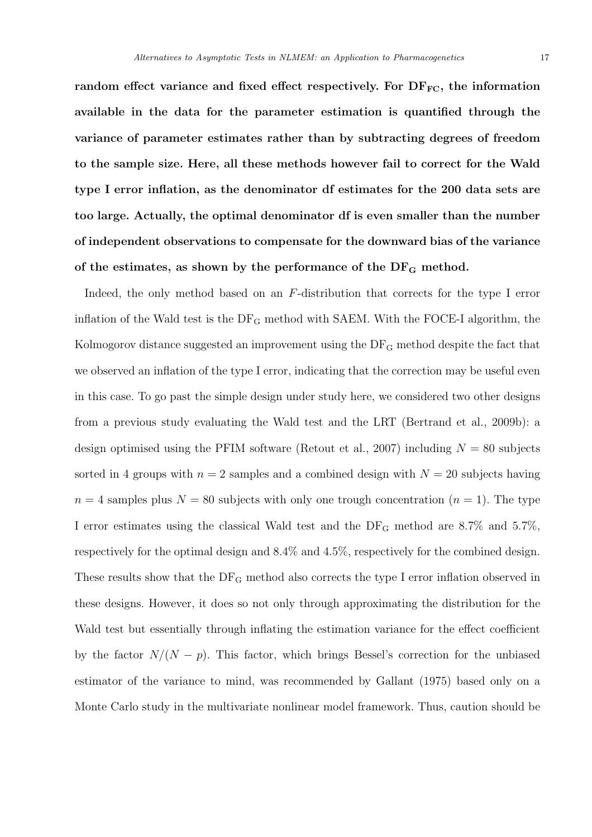random effect variance and fixed effect respectively. For  $DF_{FC}$ , the information available in the data for the parameter estimation is quantified through the variance of parameter estimates rather than by subtracting degrees of freedom to the sample size. Here, all these methods however fail to correct for the Wald type I error inflation, as the denominator df estimates for the 200 data sets are too large. Actually, the optimal denominator df is even smaller than the number of independent observations to compensate for the downward bias of the variance of the estimates, as shown by the performance of the  $DF<sub>G</sub>$  method.

Indeed, the only method based on an F-distribution that corrects for the type I error inflation of the Wald test is the  $DF_G$  method with SAEM. With the FOCE-I algorithm, the Kolmogorov distance suggested an improvement using the DF<sup>G</sup> method despite the fact that we observed an inflation of the type I error, indicating that the correction may be useful even in this case. To go past the simple design under study here, we considered two other designs from a previous study evaluating the Wald test and the LRT (Bertrand et al., 2009b): a design optimised using the PFIM software (Retout et al., 2007) including  $N = 80$  subjects sorted in 4 groups with  $n = 2$  samples and a combined design with  $N = 20$  subjects having  $n = 4$  samples plus  $N = 80$  subjects with only one trough concentration  $(n = 1)$ . The type I error estimates using the classical Wald test and the  $DF_G$  method are 8.7% and 5.7%, respectively for the optimal design and 8.4% and 4.5%, respectively for the combined design. These results show that the  $DF_G$  method also corrects the type I error inflation observed in these designs. However, it does so not only through approximating the distribution for the Wald test but essentially through inflating the estimation variance for the effect coefficient by the factor  $N/(N - p)$ . This factor, which brings Bessel's correction for the unbiased estimator of the variance to mind, was recommended by Gallant (1975) based only on a Monte Carlo study in the multivariate nonlinear model framework. Thus, caution should be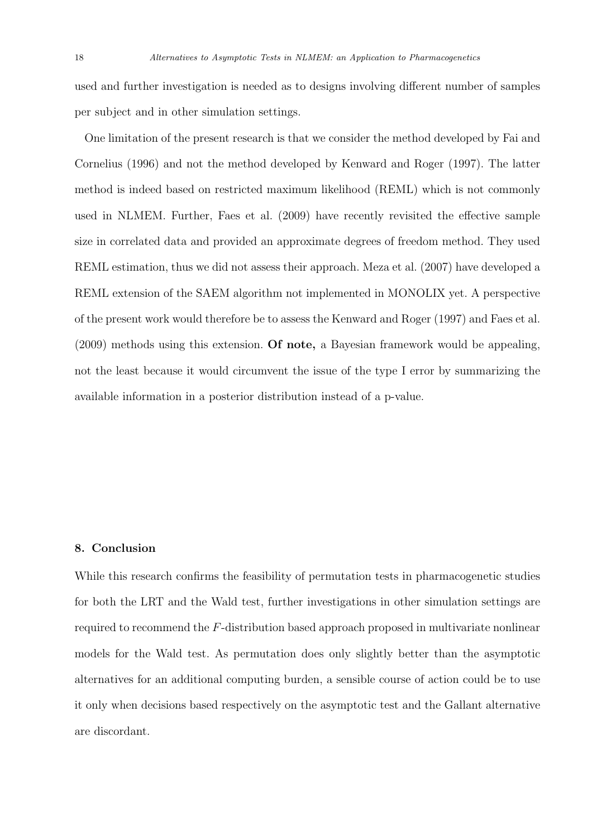used and further investigation is needed as to designs involving different number of samples per subject and in other simulation settings.

One limitation of the present research is that we consider the method developed by Fai and Cornelius (1996) and not the method developed by Kenward and Roger (1997). The latter method is indeed based on restricted maximum likelihood (REML) which is not commonly used in NLMEM. Further, Faes et al. (2009) have recently revisited the effective sample size in correlated data and provided an approximate degrees of freedom method. They used REML estimation, thus we did not assess their approach. Meza et al. (2007) have developed a REML extension of the SAEM algorithm not implemented in MONOLIX yet. A perspective of the present work would therefore be to assess the Kenward and Roger (1997) and Faes et al. (2009) methods using this extension. Of note, a Bayesian framework would be appealing, not the least because it would circumvent the issue of the type I error by summarizing the available information in a posterior distribution instead of a p-value.

## 8. Conclusion

While this research confirms the feasibility of permutation tests in pharmacogenetic studies for both the LRT and the Wald test, further investigations in other simulation settings are required to recommend the F-distribution based approach proposed in multivariate nonlinear models for the Wald test. As permutation does only slightly better than the asymptotic alternatives for an additional computing burden, a sensible course of action could be to use it only when decisions based respectively on the asymptotic test and the Gallant alternative are discordant.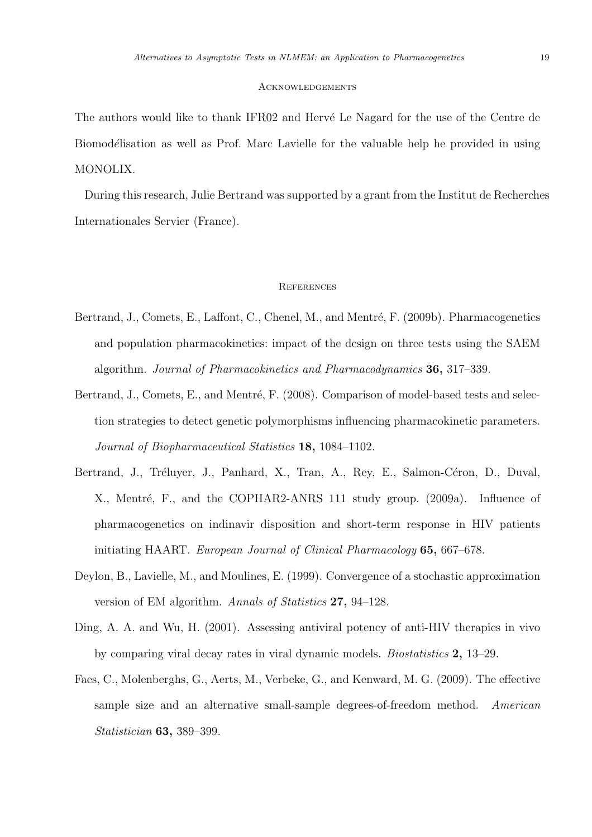#### **ACKNOWLEDGEMENTS**

The authors would like to thank IFR02 and Hervé Le Nagard for the use of the Centre de Biomodélisation as well as Prof. Marc Lavielle for the valuable help he provided in using MONOLIX.

During this research, Julie Bertrand was supported by a grant from the Institut de Recherches Internationales Servier (France).

#### **REFERENCES**

- Bertrand, J., Comets, E., Laffont, C., Chenel, M., and Mentré, F. (2009b). Pharmacogenetics and population pharmacokinetics: impact of the design on three tests using the SAEM algorithm. Journal of Pharmacokinetics and Pharmacodynamics 36, 317–339.
- Bertrand, J., Comets, E., and Mentré, F. (2008). Comparison of model-based tests and selection strategies to detect genetic polymorphisms influencing pharmacokinetic parameters. Journal of Biopharmaceutical Statistics 18, 1084–1102.
- Bertrand, J., Tréluyer, J., Panhard, X., Tran, A., Rey, E., Salmon-Céron, D., Duval, X., Mentré, F., and the COPHAR2-ANRS 111 study group. (2009a). Influence of pharmacogenetics on indinavir disposition and short-term response in HIV patients initiating HAART. European Journal of Clinical Pharmacology 65, 667–678.
- Deylon, B., Lavielle, M., and Moulines, E. (1999). Convergence of a stochastic approximation version of EM algorithm. Annals of Statistics 27, 94–128.
- Ding, A. A. and Wu, H. (2001). Assessing antiviral potency of anti-HIV therapies in vivo by comparing viral decay rates in viral dynamic models. Biostatistics 2, 13–29.
- Faes, C., Molenberghs, G., Aerts, M., Verbeke, G., and Kenward, M. G. (2009). The effective sample size and an alternative small-sample degrees-of-freedom method. American Statistician 63, 389–399.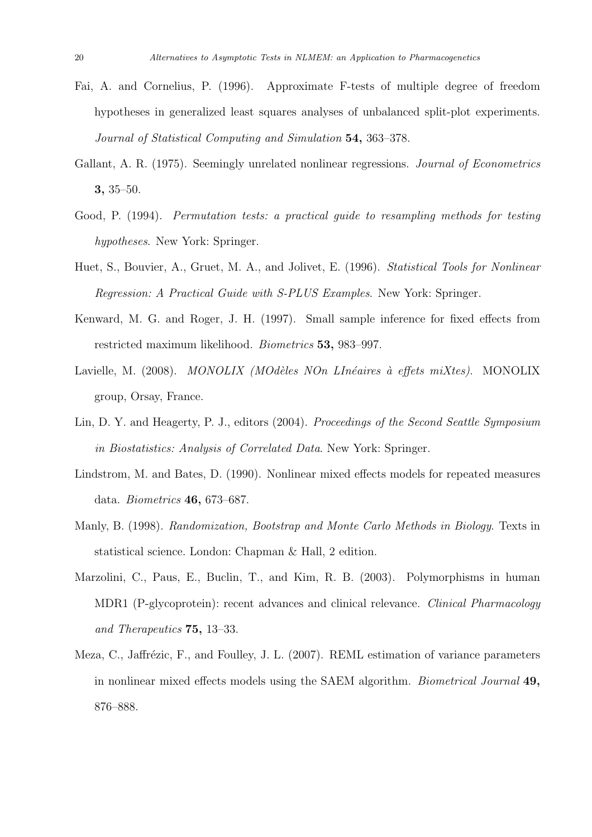- Fai, A. and Cornelius, P. (1996). Approximate F-tests of multiple degree of freedom hypotheses in generalized least squares analyses of unbalanced split-plot experiments. Journal of Statistical Computing and Simulation 54, 363–378.
- Gallant, A. R. (1975). Seemingly unrelated nonlinear regressions. *Journal of Econometrics* 3, 35–50.
- Good, P. (1994). Permutation tests: a practical guide to resampling methods for testing hypotheses. New York: Springer.
- Huet, S., Bouvier, A., Gruet, M. A., and Jolivet, E. (1996). Statistical Tools for Nonlinear Regression: A Practical Guide with S-PLUS Examples. New York: Springer.
- Kenward, M. G. and Roger, J. H. (1997). Small sample inference for fixed effects from restricted maximum likelihood. Biometrics 53, 983–997.
- Lavielle, M. (2008). MONOLIX (MOdèles NOn LInéaires à effets miXtes). MONOLIX group, Orsay, France.
- Lin, D. Y. and Heagerty, P. J., editors (2004). Proceedings of the Second Seattle Symposium in Biostatistics: Analysis of Correlated Data. New York: Springer.
- Lindstrom, M. and Bates, D. (1990). Nonlinear mixed effects models for repeated measures data. Biometrics 46, 673–687.
- Manly, B. (1998). Randomization, Bootstrap and Monte Carlo Methods in Biology. Texts in statistical science. London: Chapman & Hall, 2 edition.
- Marzolini, C., Paus, E., Buclin, T., and Kim, R. B. (2003). Polymorphisms in human MDR1 (P-glycoprotein): recent advances and clinical relevance. Clinical Pharmacology and Therapeutics 75, 13–33.
- Meza, C., Jaffrézic, F., and Foulley, J. L. (2007). REML estimation of variance parameters in nonlinear mixed effects models using the SAEM algorithm. Biometrical Journal 49, 876–888.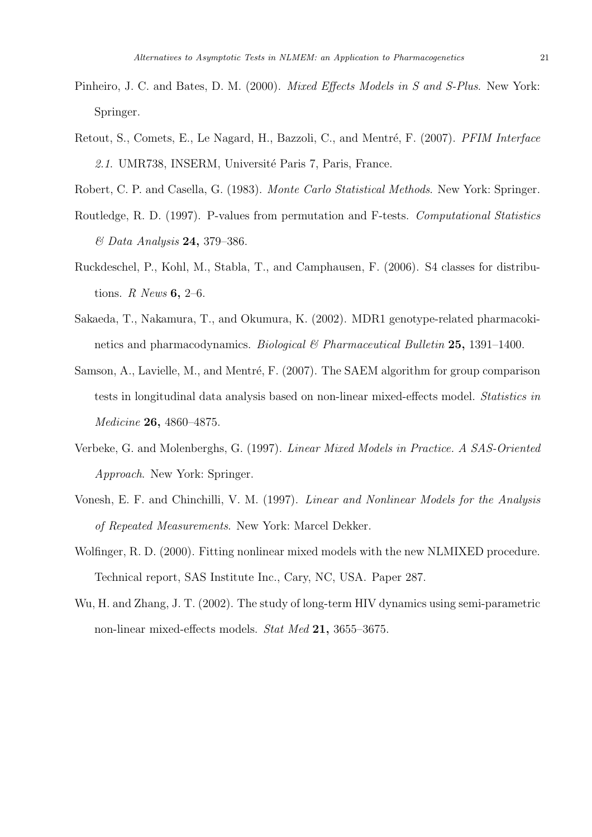- Pinheiro, J. C. and Bates, D. M. (2000). *Mixed Effects Models in S and S-Plus*. New York: Springer.
- Retout, S., Comets, E., Le Nagard, H., Bazzoli, C., and Mentré, F. (2007). PFIM Interface 2.1. UMR738, INSERM, Université Paris 7, Paris, France.

Robert, C. P. and Casella, G. (1983). Monte Carlo Statistical Methods. New York: Springer.

- Routledge, R. D. (1997). P-values from permutation and F-tests. Computational Statistics & Data Analysis 24, 379–386.
- Ruckdeschel, P., Kohl, M., Stabla, T., and Camphausen, F. (2006). S4 classes for distributions. R News  $6, 2-6$ .
- Sakaeda, T., Nakamura, T., and Okumura, K. (2002). MDR1 genotype-related pharmacokinetics and pharmacodynamics. *Biological*  $\mathcal{B}$  *Pharmaceutical Bulletin* 25, 1391–1400.
- Samson, A., Lavielle, M., and Mentré, F.  $(2007)$ . The SAEM algorithm for group comparison tests in longitudinal data analysis based on non-linear mixed-effects model. Statistics in Medicine 26, 4860–4875.
- Verbeke, G. and Molenberghs, G. (1997). Linear Mixed Models in Practice. A SAS-Oriented Approach. New York: Springer.
- Vonesh, E. F. and Chinchilli, V. M. (1997). Linear and Nonlinear Models for the Analysis of Repeated Measurements. New York: Marcel Dekker.
- Wolfinger, R. D. (2000). Fitting nonlinear mixed models with the new NLMIXED procedure. Technical report, SAS Institute Inc., Cary, NC, USA. Paper 287.
- Wu, H. and Zhang, J. T. (2002). The study of long-term HIV dynamics using semi-parametric non-linear mixed-effects models. Stat Med 21, 3655–3675.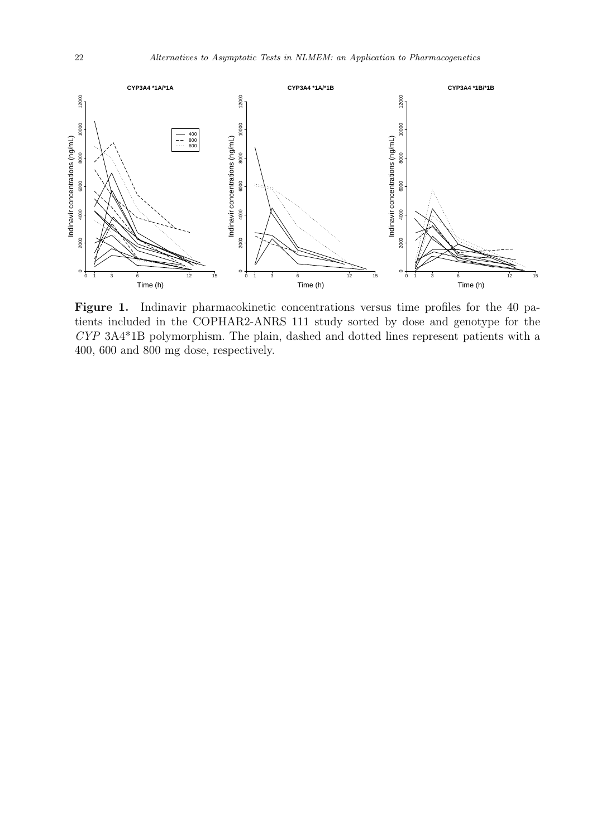

Figure 1. Indinavir pharmacokinetic concentrations versus time profiles for the 40 patients included in the COPHAR2-ANRS 111 study sorted by dose and genotype for the CYP 3A4\*1B polymorphism. The plain, dashed and dotted lines represent patients with a 400, 600 and 800 mg dose, respectively.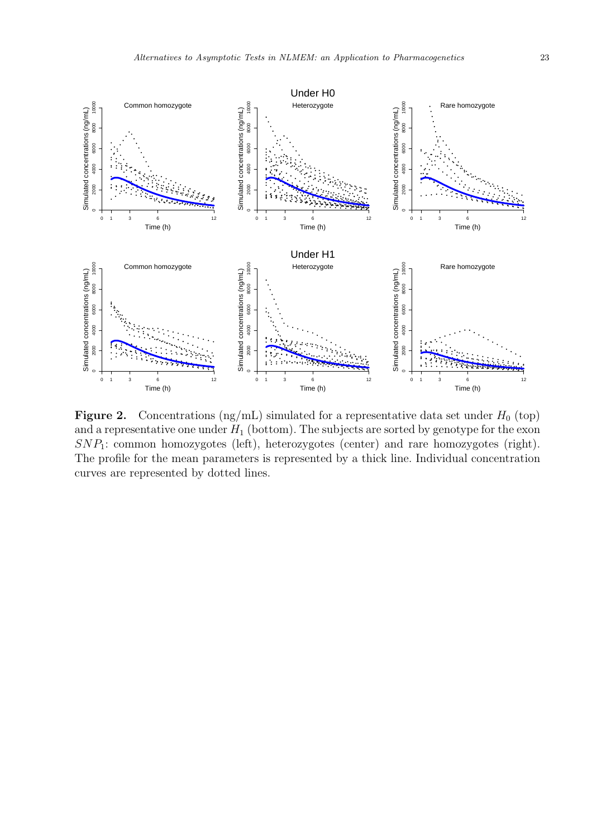

Figure 2. Concentrations (ng/mL) simulated for a representative data set under  $H_0$  (top) and a representative one under  $H_1$  (bottom). The subjects are sorted by genotype for the exon  $SNP_1$ : common homozygotes (left), heterozygotes (center) and rare homozygotes (right). The profile for the mean parameters is represented by a thick line. Individual concentration curves are represented by dotted lines.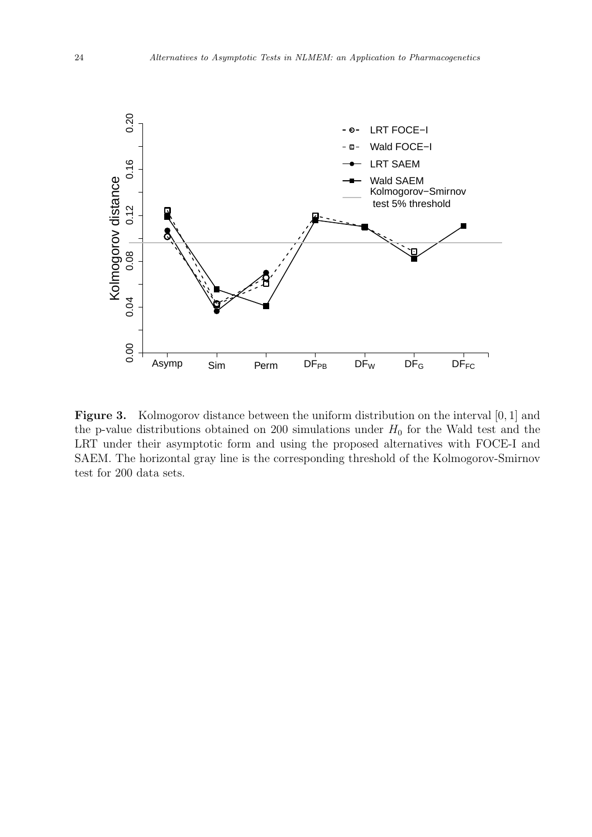

Figure 3. Kolmogorov distance between the uniform distribution on the interval [0, 1] and the p-value distributions obtained on 200 simulations under  $H_0$  for the Wald test and the LRT under their asymptotic form and using the proposed alternatives with FOCE-I and SAEM. The horizontal gray line is the corresponding threshold of the Kolmogorov-Smirnov test for 200 data sets.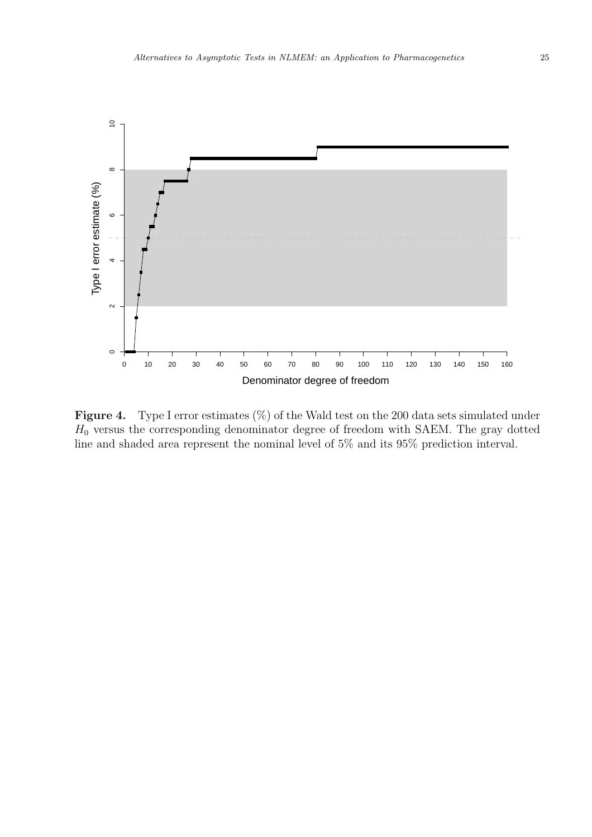

**Figure 4.** Type I error estimates  $(\%)$  of the Wald test on the 200 data sets simulated under  $H_0$  versus the corresponding denominator degree of freedom with SAEM. The gray dotted line and shaded area represent the nominal level of 5% and its 95% prediction interval.